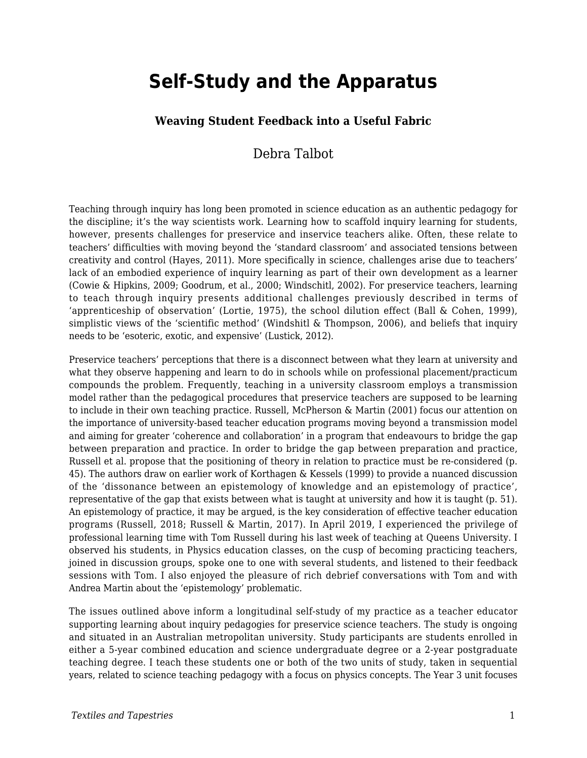# **Self-Study and the Apparatus**

#### **Weaving Student Feedback into a Useful Fabric**

### Debra Talbot

Teaching through inquiry has long been promoted in science education as an authentic pedagogy for the discipline; it's the way scientists work. Learning how to scaffold inquiry learning for students, however, presents challenges for preservice and inservice teachers alike. Often, these relate to teachers' difficulties with moving beyond the 'standard classroom' and associated tensions between creativity and control (Hayes, 2011). More specifically in science, challenges arise due to teachers' lack of an embodied experience of inquiry learning as part of their own development as a learner (Cowie & Hipkins, 2009; Goodrum, et al., 2000; Windschitl, 2002). For preservice teachers, learning to teach through inquiry presents additional challenges previously described in terms of 'apprenticeship of observation' (Lortie, 1975), the school dilution effect (Ball & Cohen, 1999), simplistic views of the 'scientific method' (Windshitl & Thompson, 2006), and beliefs that inquiry needs to be 'esoteric, exotic, and expensive' (Lustick, 2012).

Preservice teachers' perceptions that there is a disconnect between what they learn at university and what they observe happening and learn to do in schools while on professional placement/practicum compounds the problem. Frequently, teaching in a university classroom employs a transmission model rather than the pedagogical procedures that preservice teachers are supposed to be learning to include in their own teaching practice. Russell, McPherson & Martin (2001) focus our attention on the importance of university-based teacher education programs moving beyond a transmission model and aiming for greater 'coherence and collaboration' in a program that endeavours to bridge the gap between preparation and practice. In order to bridge the gap between preparation and practice, Russell et al. propose that the positioning of theory in relation to practice must be re-considered (p. 45). The authors draw on earlier work of Korthagen & Kessels (1999) to provide a nuanced discussion of the 'dissonance between an epistemology of knowledge and an epistemology of practice', representative of the gap that exists between what is taught at university and how it is taught (p. 51). An epistemology of practice, it may be argued, is the key consideration of effective teacher education programs (Russell, 2018; Russell & Martin, 2017). In April 2019, I experienced the privilege of professional learning time with Tom Russell during his last week of teaching at Queens University. I observed his students, in Physics education classes, on the cusp of becoming practicing teachers, joined in discussion groups, spoke one to one with several students, and listened to their feedback sessions with Tom. I also enjoyed the pleasure of rich debrief conversations with Tom and with Andrea Martin about the 'epistemology' problematic.

The issues outlined above inform a longitudinal self-study of my practice as a teacher educator supporting learning about inquiry pedagogies for preservice science teachers. The study is ongoing and situated in an Australian metropolitan university. Study participants are students enrolled in either a 5-year combined education and science undergraduate degree or a 2-year postgraduate teaching degree. I teach these students one or both of the two units of study, taken in sequential years, related to science teaching pedagogy with a focus on physics concepts. The Year 3 unit focuses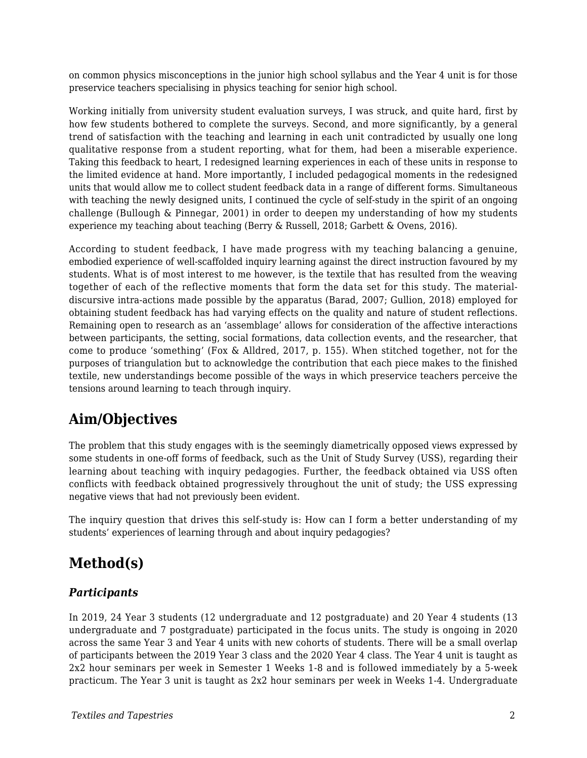on common physics misconceptions in the junior high school syllabus and the Year 4 unit is for those preservice teachers specialising in physics teaching for senior high school.

Working initially from university student evaluation surveys, I was struck, and quite hard, first by how few students bothered to complete the surveys. Second, and more significantly, by a general trend of satisfaction with the teaching and learning in each unit contradicted by usually one long qualitative response from a student reporting, what for them, had been a miserable experience. Taking this feedback to heart, I redesigned learning experiences in each of these units in response to the limited evidence at hand. More importantly, I included pedagogical moments in the redesigned units that would allow me to collect student feedback data in a range of different forms. Simultaneous with teaching the newly designed units, I continued the cycle of self-study in the spirit of an ongoing challenge (Bullough & Pinnegar, 2001) in order to deepen my understanding of how my students experience my teaching about teaching (Berry & Russell, 2018; Garbett & Ovens, 2016).

According to student feedback, I have made progress with my teaching balancing a genuine, embodied experience of well-scaffolded inquiry learning against the direct instruction favoured by my students. What is of most interest to me however, is the textile that has resulted from the weaving together of each of the reflective moments that form the data set for this study. The materialdiscursive intra-actions made possible by the apparatus (Barad, 2007; Gullion, 2018) employed for obtaining student feedback has had varying effects on the quality and nature of student reflections. Remaining open to research as an 'assemblage' allows for consideration of the affective interactions between participants, the setting, social formations, data collection events, and the researcher, that come to produce 'something' (Fox & Alldred, 2017, p. 155). When stitched together, not for the purposes of triangulation but to acknowledge the contribution that each piece makes to the finished textile, new understandings become possible of the ways in which preservice teachers perceive the tensions around learning to teach through inquiry.

# **Aim/Objectives**

The problem that this study engages with is the seemingly diametrically opposed views expressed by some students in one-off forms of feedback, such as the Unit of Study Survey (USS), regarding their learning about teaching with inquiry pedagogies. Further, the feedback obtained via USS often conflicts with feedback obtained progressively throughout the unit of study; the USS expressing negative views that had not previously been evident.

The inquiry question that drives this self-study is: How can I form a better understanding of my students' experiences of learning through and about inquiry pedagogies?

# **Method(s)**

#### *Participants*

In 2019, 24 Year 3 students (12 undergraduate and 12 postgraduate) and 20 Year 4 students (13 undergraduate and 7 postgraduate) participated in the focus units. The study is ongoing in 2020 across the same Year 3 and Year 4 units with new cohorts of students. There will be a small overlap of participants between the 2019 Year 3 class and the 2020 Year 4 class. The Year 4 unit is taught as 2x2 hour seminars per week in Semester 1 Weeks 1-8 and is followed immediately by a 5-week practicum. The Year 3 unit is taught as 2x2 hour seminars per week in Weeks 1-4. Undergraduate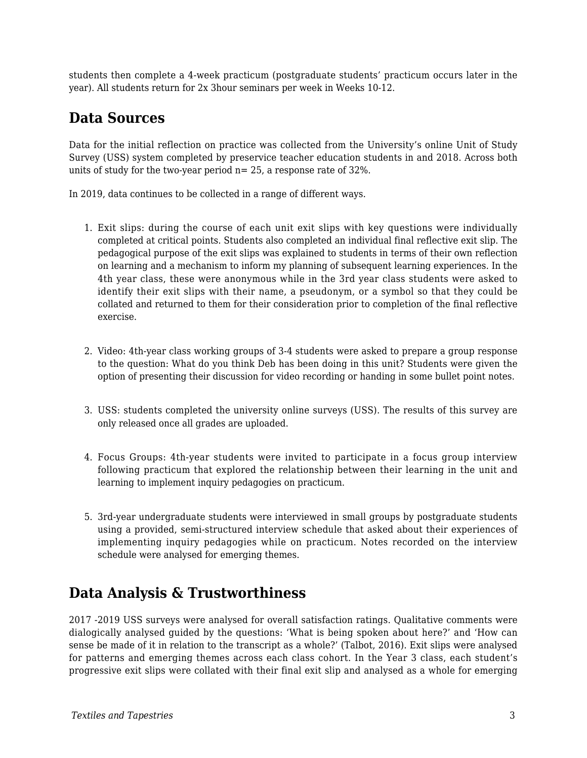students then complete a 4-week practicum (postgraduate students' practicum occurs later in the year). All students return for 2x 3hour seminars per week in Weeks 10-12.

## **Data Sources**

Data for the initial reflection on practice was collected from the University's online Unit of Study Survey (USS) system completed by preservice teacher education students in and 2018. Across both units of study for the two-year period n= 25, a response rate of 32%.

In 2019, data continues to be collected in a range of different ways.

- 1. Exit slips: during the course of each unit exit slips with key questions were individually completed at critical points. Students also completed an individual final reflective exit slip. The pedagogical purpose of the exit slips was explained to students in terms of their own reflection on learning and a mechanism to inform my planning of subsequent learning experiences. In the 4th year class, these were anonymous while in the 3rd year class students were asked to identify their exit slips with their name, a pseudonym, or a symbol so that they could be collated and returned to them for their consideration prior to completion of the final reflective exercise.
- 2. Video: 4th-year class working groups of 3-4 students were asked to prepare a group response to the question: What do you think Deb has been doing in this unit? Students were given the option of presenting their discussion for video recording or handing in some bullet point notes.
- 3. USS: students completed the university online surveys (USS). The results of this survey are only released once all grades are uploaded.
- 4. Focus Groups: 4th-year students were invited to participate in a focus group interview following practicum that explored the relationship between their learning in the unit and learning to implement inquiry pedagogies on practicum.
- 5. 3rd-year undergraduate students were interviewed in small groups by postgraduate students using a provided, semi-structured interview schedule that asked about their experiences of implementing inquiry pedagogies while on practicum. Notes recorded on the interview schedule were analysed for emerging themes.

# **Data Analysis & Trustworthiness**

2017 -2019 USS surveys were analysed for overall satisfaction ratings. Qualitative comments were dialogically analysed guided by the questions: 'What is being spoken about here?' and 'How can sense be made of it in relation to the transcript as a whole?' (Talbot, 2016). Exit slips were analysed for patterns and emerging themes across each class cohort. In the Year 3 class, each student's progressive exit slips were collated with their final exit slip and analysed as a whole for emerging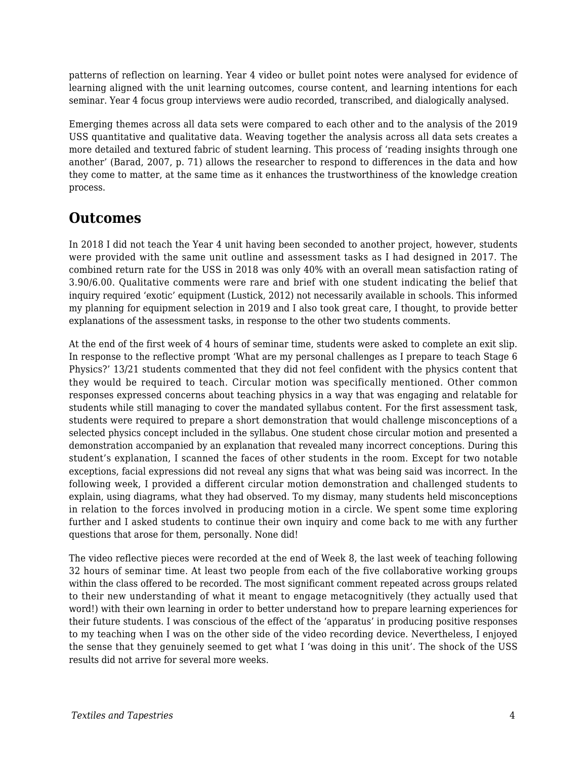patterns of reflection on learning. Year 4 video or bullet point notes were analysed for evidence of learning aligned with the unit learning outcomes, course content, and learning intentions for each seminar. Year 4 focus group interviews were audio recorded, transcribed, and dialogically analysed.

Emerging themes across all data sets were compared to each other and to the analysis of the 2019 USS quantitative and qualitative data. Weaving together the analysis across all data sets creates a more detailed and textured fabric of student learning. This process of 'reading insights through one another' (Barad, 2007, p. 71) allows the researcher to respond to differences in the data and how they come to matter, at the same time as it enhances the trustworthiness of the knowledge creation process.

# **Outcomes**

In 2018 I did not teach the Year 4 unit having been seconded to another project, however, students were provided with the same unit outline and assessment tasks as I had designed in 2017. The combined return rate for the USS in 2018 was only 40% with an overall mean satisfaction rating of 3.90/6.00. Qualitative comments were rare and brief with one student indicating the belief that inquiry required 'exotic' equipment (Lustick, 2012) not necessarily available in schools. This informed my planning for equipment selection in 2019 and I also took great care, I thought, to provide better explanations of the assessment tasks, in response to the other two students comments.

At the end of the first week of 4 hours of seminar time, students were asked to complete an exit slip. In response to the reflective prompt 'What are my personal challenges as I prepare to teach Stage 6 Physics?' 13/21 students commented that they did not feel confident with the physics content that they would be required to teach. Circular motion was specifically mentioned. Other common responses expressed concerns about teaching physics in a way that was engaging and relatable for students while still managing to cover the mandated syllabus content. For the first assessment task, students were required to prepare a short demonstration that would challenge misconceptions of a selected physics concept included in the syllabus. One student chose circular motion and presented a demonstration accompanied by an explanation that revealed many incorrect conceptions. During this student's explanation, I scanned the faces of other students in the room. Except for two notable exceptions, facial expressions did not reveal any signs that what was being said was incorrect. In the following week, I provided a different circular motion demonstration and challenged students to explain, using diagrams, what they had observed. To my dismay, many students held misconceptions in relation to the forces involved in producing motion in a circle. We spent some time exploring further and I asked students to continue their own inquiry and come back to me with any further questions that arose for them, personally. None did!

The video reflective pieces were recorded at the end of Week 8, the last week of teaching following 32 hours of seminar time. At least two people from each of the five collaborative working groups within the class offered to be recorded. The most significant comment repeated across groups related to their new understanding of what it meant to engage metacognitively (they actually used that word!) with their own learning in order to better understand how to prepare learning experiences for their future students. I was conscious of the effect of the 'apparatus' in producing positive responses to my teaching when I was on the other side of the video recording device. Nevertheless, I enjoyed the sense that they genuinely seemed to get what I 'was doing in this unit'. The shock of the USS results did not arrive for several more weeks.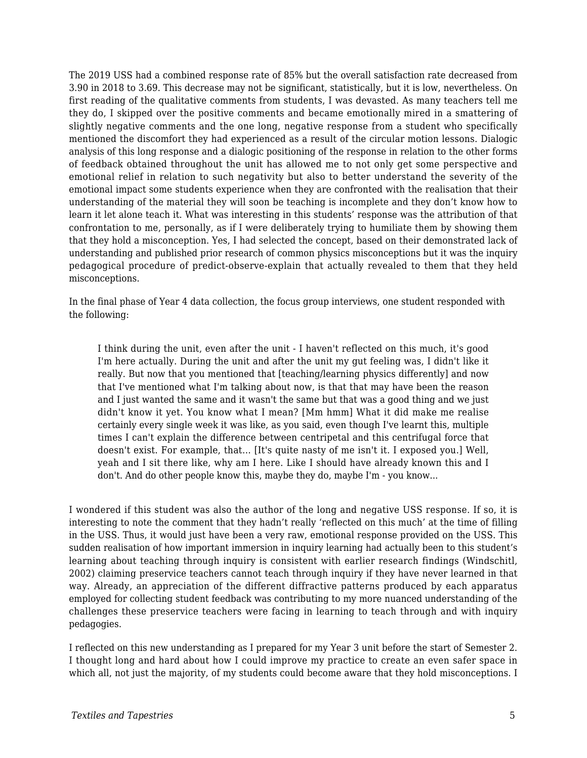The 2019 USS had a combined response rate of 85% but the overall satisfaction rate decreased from 3.90 in 2018 to 3.69. This decrease may not be significant, statistically, but it is low, nevertheless. On first reading of the qualitative comments from students, I was devasted. As many teachers tell me they do, I skipped over the positive comments and became emotionally mired in a smattering of slightly negative comments and the one long, negative response from a student who specifically mentioned the discomfort they had experienced as a result of the circular motion lessons. Dialogic analysis of this long response and a dialogic positioning of the response in relation to the other forms of feedback obtained throughout the unit has allowed me to not only get some perspective and emotional relief in relation to such negativity but also to better understand the severity of the emotional impact some students experience when they are confronted with the realisation that their understanding of the material they will soon be teaching is incomplete and they don't know how to learn it let alone teach it. What was interesting in this students' response was the attribution of that confrontation to me, personally, as if I were deliberately trying to humiliate them by showing them that they hold a misconception. Yes, I had selected the concept, based on their demonstrated lack of understanding and published prior research of common physics misconceptions but it was the inquiry pedagogical procedure of predict-observe-explain that actually revealed to them that they held misconceptions.

In the final phase of Year 4 data collection, the focus group interviews, one student responded with the following:

I think during the unit, even after the unit - I haven't reflected on this much, it's good I'm here actually. During the unit and after the unit my gut feeling was, I didn't like it really. But now that you mentioned that [teaching/learning physics differently] and now that I've mentioned what I'm talking about now, is that that may have been the reason and I just wanted the same and it wasn't the same but that was a good thing and we just didn't know it yet. You know what I mean? [Mm hmm] What it did make me realise certainly every single week it was like, as you said, even though I've learnt this, multiple times I can't explain the difference between centripetal and this centrifugal force that doesn't exist. For example, that… [It's quite nasty of me isn't it. I exposed you.] Well, yeah and I sit there like, why am I here. Like I should have already known this and I don't. And do other people know this, maybe they do, maybe I'm - you know...

I wondered if this student was also the author of the long and negative USS response. If so, it is interesting to note the comment that they hadn't really 'reflected on this much' at the time of filling in the USS. Thus, it would just have been a very raw, emotional response provided on the USS. This sudden realisation of how important immersion in inquiry learning had actually been to this student's learning about teaching through inquiry is consistent with earlier research findings (Windschitl, 2002) claiming preservice teachers cannot teach through inquiry if they have never learned in that way. Already, an appreciation of the different diffractive patterns produced by each apparatus employed for collecting student feedback was contributing to my more nuanced understanding of the challenges these preservice teachers were facing in learning to teach through and with inquiry pedagogies.

I reflected on this new understanding as I prepared for my Year 3 unit before the start of Semester 2. I thought long and hard about how I could improve my practice to create an even safer space in which all, not just the majority, of my students could become aware that they hold misconceptions. I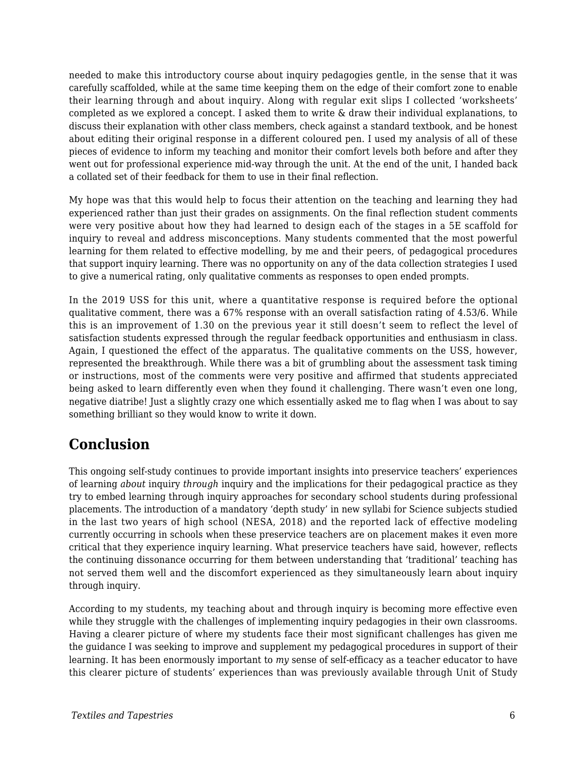needed to make this introductory course about inquiry pedagogies gentle, in the sense that it was carefully scaffolded, while at the same time keeping them on the edge of their comfort zone to enable their learning through and about inquiry. Along with regular exit slips I collected 'worksheets' completed as we explored a concept. I asked them to write & draw their individual explanations, to discuss their explanation with other class members, check against a standard textbook, and be honest about editing their original response in a different coloured pen. I used my analysis of all of these pieces of evidence to inform my teaching and monitor their comfort levels both before and after they went out for professional experience mid-way through the unit. At the end of the unit, I handed back a collated set of their feedback for them to use in their final reflection.

My hope was that this would help to focus their attention on the teaching and learning they had experienced rather than just their grades on assignments. On the final reflection student comments were very positive about how they had learned to design each of the stages in a 5E scaffold for inquiry to reveal and address misconceptions. Many students commented that the most powerful learning for them related to effective modelling, by me and their peers, of pedagogical procedures that support inquiry learning. There was no opportunity on any of the data collection strategies I used to give a numerical rating, only qualitative comments as responses to open ended prompts.

In the 2019 USS for this unit, where a quantitative response is required before the optional qualitative comment, there was a 67% response with an overall satisfaction rating of 4.53/6. While this is an improvement of 1.30 on the previous year it still doesn't seem to reflect the level of satisfaction students expressed through the regular feedback opportunities and enthusiasm in class. Again, I questioned the effect of the apparatus. The qualitative comments on the USS, however, represented the breakthrough. While there was a bit of grumbling about the assessment task timing or instructions, most of the comments were very positive and affirmed that students appreciated being asked to learn differently even when they found it challenging. There wasn't even one long, negative diatribe! Just a slightly crazy one which essentially asked me to flag when I was about to say something brilliant so they would know to write it down.

# **Conclusion**

This ongoing self-study continues to provide important insights into preservice teachers' experiences of learning *about* inquiry *through* inquiry and the implications for their pedagogical practice as they try to embed learning through inquiry approaches for secondary school students during professional placements. The introduction of a mandatory 'depth study' in new syllabi for Science subjects studied in the last two years of high school (NESA, 2018) and the reported lack of effective modeling currently occurring in schools when these preservice teachers are on placement makes it even more critical that they experience inquiry learning. What preservice teachers have said, however, reflects the continuing dissonance occurring for them between understanding that 'traditional' teaching has not served them well and the discomfort experienced as they simultaneously learn about inquiry through inquiry.

According to my students, my teaching about and through inquiry is becoming more effective even while they struggle with the challenges of implementing inquiry pedagogies in their own classrooms. Having a clearer picture of where my students face their most significant challenges has given me the guidance I was seeking to improve and supplement my pedagogical procedures in support of their learning. It has been enormously important to *my* sense of self-efficacy as a teacher educator to have this clearer picture of students' experiences than was previously available through Unit of Study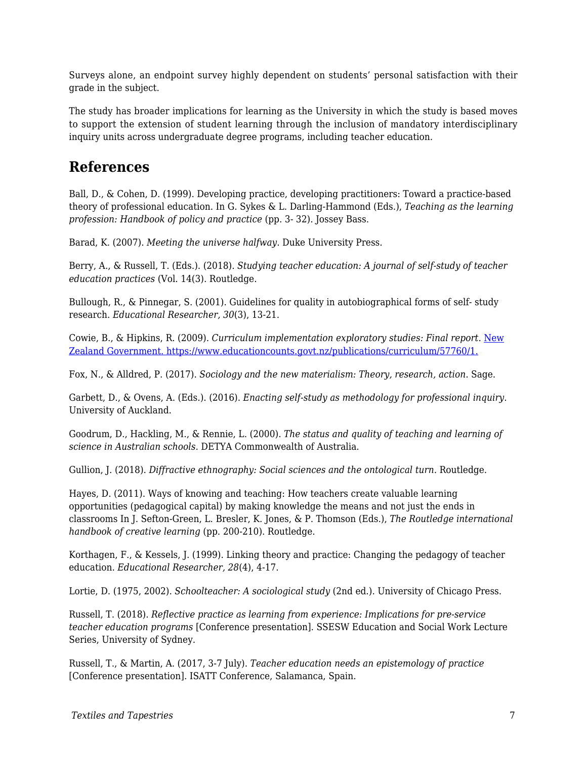Surveys alone, an endpoint survey highly dependent on students' personal satisfaction with their grade in the subject.

The study has broader implications for learning as the University in which the study is based moves to support the extension of student learning through the inclusion of mandatory interdisciplinary inquiry units across undergraduate degree programs, including teacher education.

## **References**

Ball, D., & Cohen, D. (1999). Developing practice, developing practitioners: Toward a practice-based theory of professional education. In G. Sykes & L. Darling-Hammond (Eds.), *Teaching as the learning profession: Handbook of policy and practice* (pp. 3- 32). Jossey Bass.

Barad, K. (2007). *Meeting the universe halfway*. Duke University Press.

Berry, A., & Russell, T. (Eds.). (2018). *Studying teacher education: A journal of self-study of teacher education practices* (Vol. 14(3). Routledge.

Bullough, R., & Pinnegar, S. (2001). Guidelines for quality in autobiographical forms of self- study research. *Educational Researcher, 30*(3), 13-21.

Cowie, B., & Hipkins, R. (2009). *Curriculum implementation exploratory studies: Final report.* [New](http://www.educationcounts.govt.nz/publications/curriculum/57760/1) [Zealand Government. https://www.educationcounts.govt.nz/publications/curriculum/57760/1.](http://www.educationcounts.govt.nz/publications/curriculum/57760/1)

Fox, N., & Alldred, P. (2017). *Sociology and the new materialism: Theory, research, action*. Sage.

Garbett, D., & Ovens, A. (Eds.). (2016). *Enacting self-study as methodology for professional inquiry*. University of Auckland.

Goodrum, D., Hackling, M., & Rennie, L. (2000). *The status and quality of teaching and learning of science in Australian schools*. DETYA Commonwealth of Australia.

Gullion, J. (2018). *Diffractive ethnography: Social sciences and the ontological turn*. Routledge.

Hayes, D. (2011). Ways of knowing and teaching: How teachers create valuable learning opportunities (pedagogical capital) by making knowledge the means and not just the ends in classrooms In J. Sefton-Green, L. Bresler, K. Jones, & P. Thomson (Eds.), *The Routledge international handbook of creative learning* (pp. 200-210). Routledge.

Korthagen, F., & Kessels, J. (1999). Linking theory and practice: Changing the pedagogy of teacher education. *Educational Researcher, 28*(4), 4-17.

Lortie, D. (1975, 2002). *Schoolteacher: A sociological study* (2nd ed.). University of Chicago Press.

Russell, T. (2018). *Reflective practice as learning from experience: Implications for pre-service teacher education programs* [Conference presentation]. SSESW Education and Social Work Lecture Series, University of Sydney.

Russell, T., & Martin, A. (2017, 3-7 July). *Teacher education needs an epistemology of practice* [Conference presentation]. ISATT Conference, Salamanca, Spain.